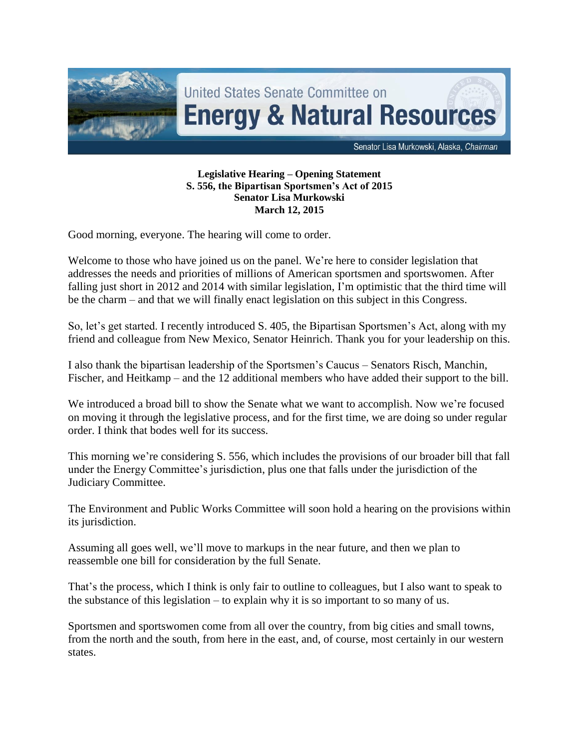

## **Legislative Hearing – Opening Statement S. 556, the Bipartisan Sportsmen's Act of 2015 Senator Lisa Murkowski March 12, 2015**

Good morning, everyone. The hearing will come to order.

Welcome to those who have joined us on the panel. We're here to consider legislation that addresses the needs and priorities of millions of American sportsmen and sportswomen. After falling just short in 2012 and 2014 with similar legislation, I'm optimistic that the third time will be the charm – and that we will finally enact legislation on this subject in this Congress.

So, let's get started. I recently introduced S. 405, the Bipartisan Sportsmen's Act, along with my friend and colleague from New Mexico, Senator Heinrich. Thank you for your leadership on this.

I also thank the bipartisan leadership of the Sportsmen's Caucus – Senators Risch, Manchin, Fischer, and Heitkamp – and the 12 additional members who have added their support to the bill.

We introduced a broad bill to show the Senate what we want to accomplish. Now we're focused on moving it through the legislative process, and for the first time, we are doing so under regular order. I think that bodes well for its success.

This morning we're considering S. 556, which includes the provisions of our broader bill that fall under the Energy Committee's jurisdiction, plus one that falls under the jurisdiction of the Judiciary Committee.

The Environment and Public Works Committee will soon hold a hearing on the provisions within its jurisdiction.

Assuming all goes well, we'll move to markups in the near future, and then we plan to reassemble one bill for consideration by the full Senate.

That's the process, which I think is only fair to outline to colleagues, but I also want to speak to the substance of this legislation – to explain why it is so important to so many of us.

Sportsmen and sportswomen come from all over the country, from big cities and small towns, from the north and the south, from here in the east, and, of course, most certainly in our western states.